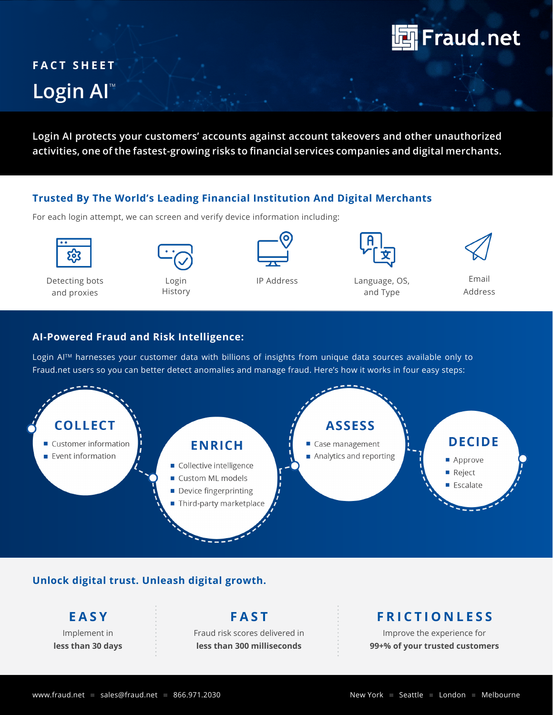

# **FACT SHEET** Login AI<sup>®</sup>

**Login AI protects your customers' accounts against account takeovers and other unauthorized activities, one of the fastest-growing risks to financial services companies and digital merchants.**

## **Trusted By The World's Leading Financial Institution And Digital Merchants**

For each login attempt, we can screen and verify device information including:

Detecting bots and proxies



Login History





IP Address Language, OS, and Type



Email Address

# **AI-Powered Fraud and Risk Intelligence:**

Login AI™ harnesses your customer data with billions of insights from unique data sources available only to Fraud.net users so you can better detect anomalies and manage fraud. Here's how it works in four easy steps:



# **Unlock digital trust. Unleash digital growth.**

**E A S Y**  Implement in **less than 30 days**

**F A S T**  Fraud risk scores delivered in **less than 300 milliseconds**

# **F R I C T I O N L E S S**

Improve the experience for **99+% of your trusted customers**